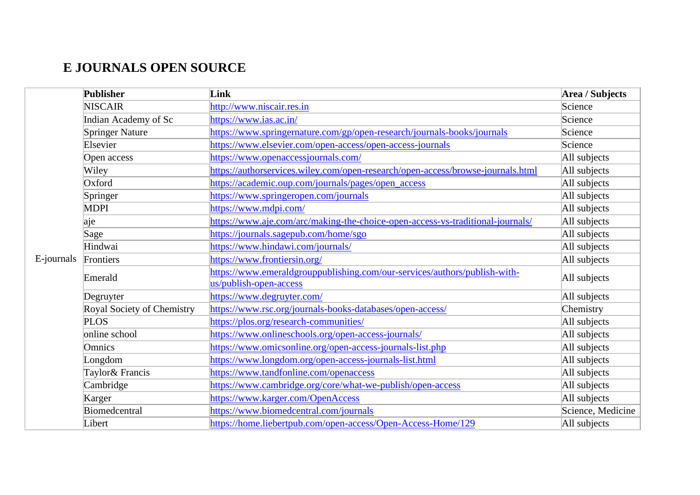## **E JOURNALS OPEN SOURCE**

|            | Publisher                  | Link                                                                                                | Area / Subjects   |
|------------|----------------------------|-----------------------------------------------------------------------------------------------------|-------------------|
|            | <b>NISCAIR</b>             | http://www.niscair.res.in                                                                           | Science           |
|            | Indian Academy of Sc       | https://www.ias.ac.in/                                                                              | Science           |
|            | <b>Springer Nature</b>     | https://www.springernature.com/gp/open-research/journals-books/journals                             | Science           |
|            | Elsevier                   | https://www.elsevier.com/open-access/open-access-journals                                           | Science           |
|            | Open access                | https://www.openaccessjournals.com/                                                                 | All subjects      |
|            | Wiley                      | https://authorservices.wiley.com/open-research/open-access/browse-journals.html                     | All subjects      |
|            | Oxford                     | https://academic.oup.com/journals/pages/open_access                                                 | All subjects      |
|            | Springer                   | https://www.springeropen.com/journals                                                               | All subjects      |
|            | <b>MDPI</b>                | https://www.mdpi.com/                                                                               | All subjects      |
|            | aje                        | https://www.aje.com/arc/making-the-choice-open-access-vs-traditional-journals/                      | All subjects      |
|            | Sage                       | https://journals.sagepub.com/home/sgo                                                               | All subjects      |
|            | Hindwai                    | https://www.hindawi.com/journals/                                                                   | All subjects      |
| E-journals | Frontiers                  | https://www.frontiersin.org/                                                                        | All subjects      |
|            | Emerald                    | https://www.emeraldgrouppublishing.com/our-services/authors/publish-with-<br>us/publish-open-access | All subjects      |
|            | Degruyter                  | https://www.degruyter.com/                                                                          | All subjects      |
|            | Royal Society of Chemistry | https://www.rsc.org/journals-books-databases/open-access/                                           | Chemistry         |
|            | <b>PLOS</b>                | https://plos.org/research-communities/                                                              | All subjects      |
|            | online school              | https://www.onlineschools.org/open-access-journals/                                                 | All subjects      |
|            | Omnics                     | https://www.omicsonline.org/open-access-journals-list.php                                           | All subjects      |
|            | Longdom                    | https://www.longdom.org/open-access-journals-list.html                                              | All subjects      |
|            | Taylor& Francis            | https://www.tandfonline.com/openaccess                                                              | All subjects      |
|            | Cambridge                  | https://www.cambridge.org/core/what-we-publish/open-access                                          | All subjects      |
|            | Karger                     | https://www.karger.com/OpenAccess                                                                   | All subjects      |
|            | Biomedcentral              | https://www.biomedcentral.com/journals                                                              | Science, Medicine |
|            | Libert                     | https://home.liebertpub.com/open-access/Open-Access-Home/129                                        | All subjects      |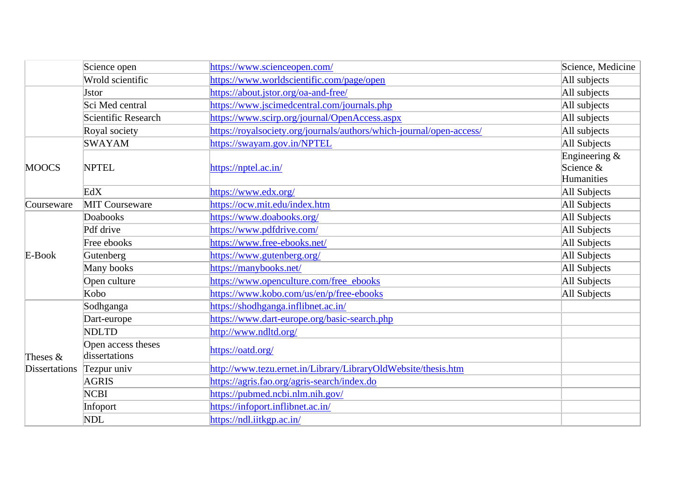|                      | Science open                        | https://www.scienceopen.com/                                         | Science, Medicine                           |
|----------------------|-------------------------------------|----------------------------------------------------------------------|---------------------------------------------|
|                      | Wrold scientific                    | https://www.worldscientific.com/page/open                            | All subjects                                |
|                      | <b>J</b> stor                       | https://about.jstor.org/oa-and-free/                                 | All subjects                                |
|                      | Sci Med central                     | https://www.jscimedcentral.com/journals.php                          | All subjects                                |
|                      | Scientific Research                 | https://www.scirp.org/journal/OpenAccess.aspx                        | All subjects                                |
|                      | Royal society                       | https://royalsociety.org/journals/authors/which-journal/open-access/ | All subjects                                |
|                      | <b>SWAYAM</b>                       | https://swayam.gov.in/NPTEL                                          | All Subjects                                |
| <b>MOOCS</b>         | <b>NPTEL</b>                        | https://nptel.ac.in/                                                 | Engineering $\&$<br>Science &<br>Humanities |
|                      | EdX                                 | https://www.edx.org/                                                 | All Subjects                                |
| Courseware           | <b>MIT Courseware</b>               | https://ocw.mit.edu/index.htm                                        | All Subjects                                |
|                      | Doabooks                            | https://www.doabooks.org/                                            | All Subjects                                |
|                      | Pdf drive                           | https://www.pdfdrive.com/                                            | All Subjects                                |
|                      | Free ebooks                         | https://www.free-ebooks.net/                                         | All Subjects                                |
| $E-Book$             | Gutenberg                           | https://www.gutenberg.org/                                           | All Subjects                                |
|                      | Many books                          | https://manybooks.net/                                               | All Subjects                                |
|                      | Open culture                        | https://www.openculture.com/free_ebooks                              | All Subjects                                |
|                      | Kobo                                | https://www.kobo.com/us/en/p/free-ebooks                             | All Subjects                                |
|                      | Sodhganga                           | https://shodhganga.inflibnet.ac.in/                                  |                                             |
|                      | Dart-europe                         | https://www.dart-europe.org/basic-search.php                         |                                             |
|                      | <b>NDLTD</b>                        | http://www.ndltd.org/                                                |                                             |
| Theses $&$           | Open access theses<br>dissertations | https://oatd.org/                                                    |                                             |
| <b>Dissertations</b> | Tezpur univ                         | http://www.tezu.ernet.in/Library/LibraryOldWebsite/thesis.htm        |                                             |
|                      | AGRIS                               | https://agris.fao.org/agris-search/index.do                          |                                             |
|                      | <b>NCBI</b>                         | https://pubmed.ncbi.nlm.nih.gov/                                     |                                             |
|                      | Infoport                            | https://infoport.inflibnet.ac.in/                                    |                                             |
|                      | NDL                                 | https://ndl.iitkgp.ac.in/                                            |                                             |